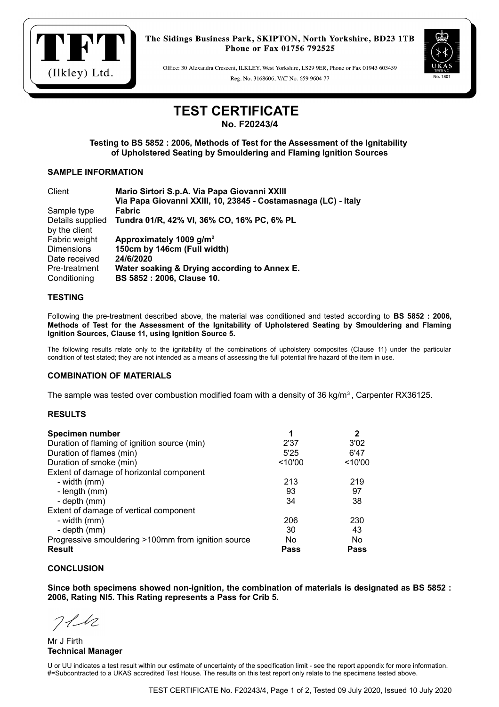

The Sidings Business Park, SKIPTON, North Yorkshire, BD23 1TB Phone or Fax 01756 792525

Office: 30 Alexandra Crescent, ILKLEY, West Yorkshire, LS29 9ER, Phone or Fax 01943 603459 Reg. No. 3168606, VAT No. 659 9604 77



# **TEST CERTIFICATE**

**No. F20243/4**

**Testing to BS 5852 : 2006, Methods of Test for the Assessment of the Ignitability of Upholstered Seating by Smouldering and Flaming Ignition Sources**

## **SAMPLE INFORMATION**

| Client            | Mario Sirtori S.p.A. Via Papa Giovanni XXIII                   |
|-------------------|----------------------------------------------------------------|
|                   | Via Papa Giovanni XXIII, 10, 23845 - Costamasnaga (LC) - Italy |
| Sample type       | <b>Fabric</b>                                                  |
| Details supplied  | Tundra 01/R, 42% VI, 36% CO, 16% PC, 6% PL                     |
| by the client     |                                                                |
| Fabric weight     | Approximately 1009 g/m <sup>2</sup>                            |
| <b>Dimensions</b> | 150cm by 146cm (Full width)                                    |
| Date received     | 24/6/2020                                                      |
| Pre-treatment     | Water soaking & Drying according to Annex E.                   |
| Conditioning      | BS 5852 : 2006, Clause 10.                                     |

# **TESTING**

Following the pre-treatment described above, the material was conditioned and tested according to **BS 5852 : 2006, Methods of Test for the Assessment of the Ignitability of Upholstered Seating by Smouldering and Flaming Ignition Sources, Clause 11, using Ignition Source 5.**

The following results relate only to the ignitability of the combinations of upholstery composites (Clause 11) under the particular condition of test stated; they are not intended as a means of assessing the full potential fire hazard of the item in use.

#### **COMBINATION OF MATERIALS**

The sample was tested over combustion modified foam with a density of 36 kg/m<sup>3</sup>, Carpenter RX36125.

# **RESULTS**

| <b>Specimen number</b>                              | 1       | 2       |
|-----------------------------------------------------|---------|---------|
| Duration of flaming of ignition source (min)        | 2'37    | 3'02    |
| Duration of flames (min)                            | 5'25    | 6'47    |
| Duration of smoke (min)                             | < 10'00 | < 10'00 |
| Extent of damage of horizontal component            |         |         |
| - width (mm)                                        | 213     | 219     |
| - length (mm)                                       | 93      | 97      |
| - depth (mm)                                        | 34      | 38      |
| Extent of damage of vertical component              |         |         |
| - width (mm)                                        | 206     | 230     |
| - depth (mm)                                        | 30      | 43      |
| Progressive smouldering >100mm from ignition source | No      | No      |
| <b>Result</b>                                       | Pass    | Pass    |

#### **CONCLUSION**

**Since both specimens showed non-ignition, the combination of materials is designated as BS 5852 : 2006, Rating NI5. This Rating represents a Pass for Crib 5.**

 $711$ 

Mr J Firth **Technical Manager**

U or UU indicates a test result within our estimate of uncertainty of the specification limit - see the report appendix for more information. #=Subcontracted to a UKAS accredited Test House. The results on this test report only relate to the specimens tested above.